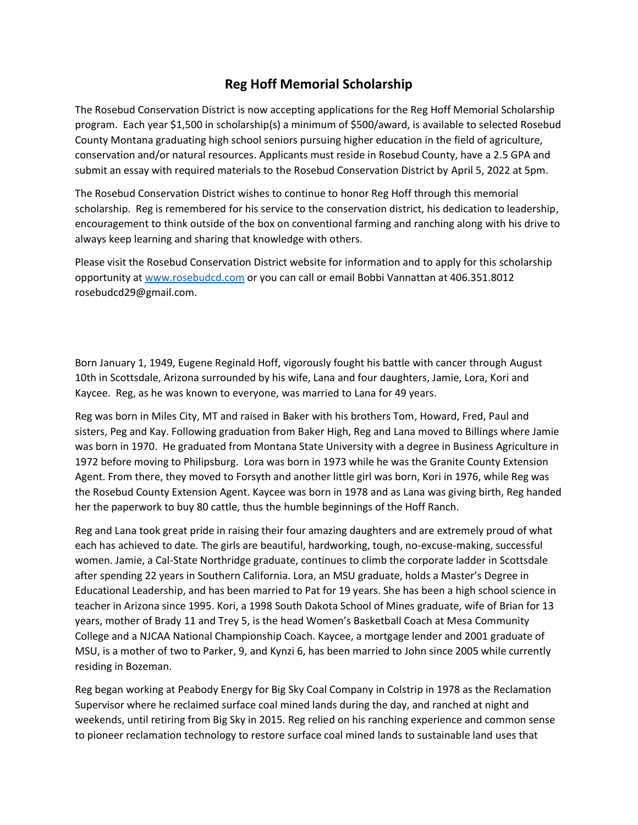## **Reg Hoff Memorial Scholarship**

The Rosebud Conservation District is now accepting applications for the Reg Hoff Memorial Scholarship program. Each year \$1,500 in scholarship(s) a minimum of \$500/award, is available to selected Rosebud County Montana graduating high school seniors pursuing higher education in the field of agriculture, conservation and/or natural resources. Applicants must reside in Rosebud County, have a 2.5 GPA and submit an essay with required materials to the Rosebud Conservation District by April 5, 2022 at 5pm.

The Rosebud Conservation District wishes to continue to honor Reg Hoff through this memorial scholarship. Reg is remembered for his service to the conservation district, his dedication to leadership, encouragement to think outside of the box on conventional farming and ranching along with his drive to always keep learning and sharing that knowledge with others.

Please visit the Rosebud Conservation District website for information and to apply for this scholarship opportunity at [www.rosebudcd.com](http://www.rosebudcd.com/) or you can call or email Bobbi Vannattan at 406.351.8012 rosebudcd29@gmail.com.

Born January 1, 1949, Eugene Reginald Hoff, vigorously fought his battle with cancer through August 10th in Scottsdale, Arizona surrounded by his wife, Lana and four daughters, Jamie, Lora, Kori and Kaycee. Reg, as he was known to everyone, was married to Lana for 49 years.

Reg was born in Miles City, MT and raised in Baker with his brothers Tom, Howard, Fred, Paul and sisters, Peg and Kay. Following graduation from Baker High, Reg and Lana moved to Billings where Jamie was born in 1970. He graduated from Montana State University with a degree in Business Agriculture in 1972 before moving to Philipsburg. Lora was born in 1973 while he was the Granite County Extension Agent. From there, they moved to Forsyth and another little girl was born, Kori in 1976, while Reg was the Rosebud County Extension Agent. Kaycee was born in 1978 and as Lana was giving birth, Reg handed her the paperwork to buy 80 cattle, thus the humble beginnings of the Hoff Ranch.

Reg and Lana took great pride in raising their four amazing daughters and are extremely proud of what each has achieved to date. The girls are beautiful, hardworking, tough, no-excuse-making, successful women. Jamie, a Cal-State Northridge graduate, continues to climb the corporate ladder in Scottsdale after spending 22 years in Southern California. Lora, an MSU graduate, holds a Master's Degree in Educational Leadership, and has been married to Pat for 19 years. She has been a high school science in teacher in Arizona since 1995. Kori, a 1998 South Dakota School of Mines graduate, wife of Brian for 13 years, mother of Brady 11 and Trey 5, is the head Women's Basketball Coach at Mesa Community College and a NJCAA National Championship Coach. Kaycee, a mortgage lender and 2001 graduate of MSU, is a mother of two to Parker, 9, and Kynzi 6, has been married to John since 2005 while currently residing in Bozeman.

Reg began working at Peabody Energy for Big Sky Coal Company in Colstrip in 1978 as the Reclamation Supervisor where he reclaimed surface coal mined lands during the day, and ranched at night and weekends, until retiring from Big Sky in 2015. Reg relied on his ranching experience and common sense to pioneer reclamation technology to restore surface coal mined lands to sustainable land uses that